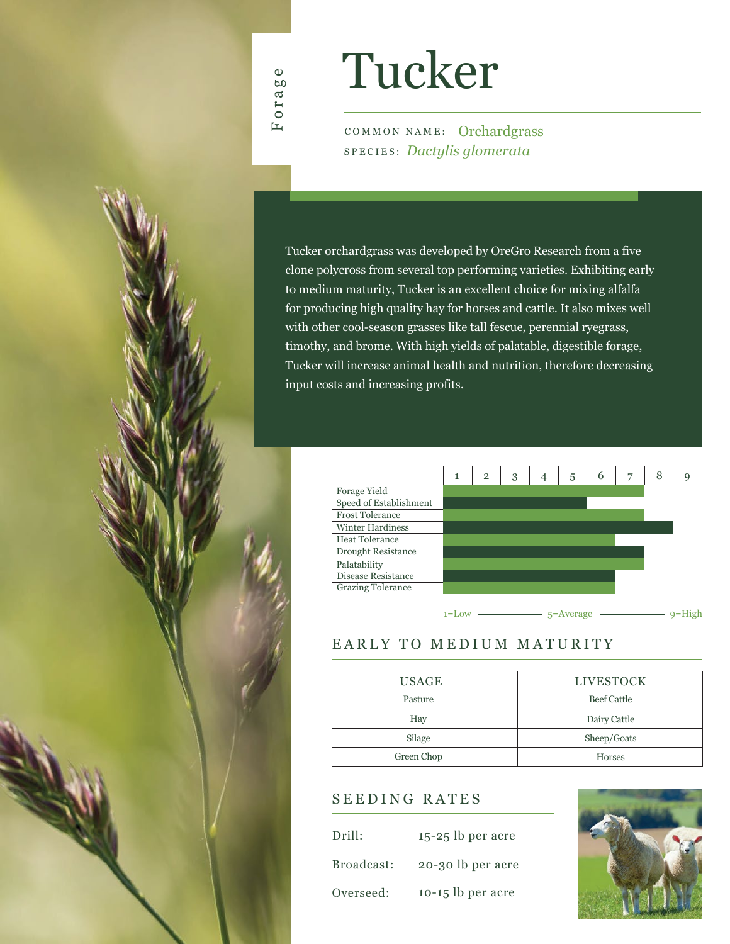

# Tucker

COMMON NAME: Orchardgrass SPECIES: *Dactylis glomerata*

Tucker orchardgrass was developed by OreGro Research from a five clone polycross from several top performing varieties. Exhibiting early to medium maturity, Tucker is an excellent choice for mixing alfalfa for producing high quality hay for horses and cattle. It also mixes well with other cool-season grasses like tall fescue, perennial ryegrass, timothy, and brome. With high yields of palatable, digestible forage, Tucker will increase animal health and nutrition, therefore decreasing input costs and increasing profits.



## EARLY TO MEDIUM MATURITY

| USAGE      | <b>LIVESTOCK</b>   |
|------------|--------------------|
| Pasture    | <b>Beef Cattle</b> |
| Hay        | Dairy Cattle       |
| Silage     | Sheep/Goats        |
| Green Chop | <b>Horses</b>      |

### SEEDING RATES

| Drill:     | $15-25$ lb per acre |
|------------|---------------------|
| Broadcast: | 20-30 lb per acre   |
| Overseed:  | $10-15$ lb per acre |